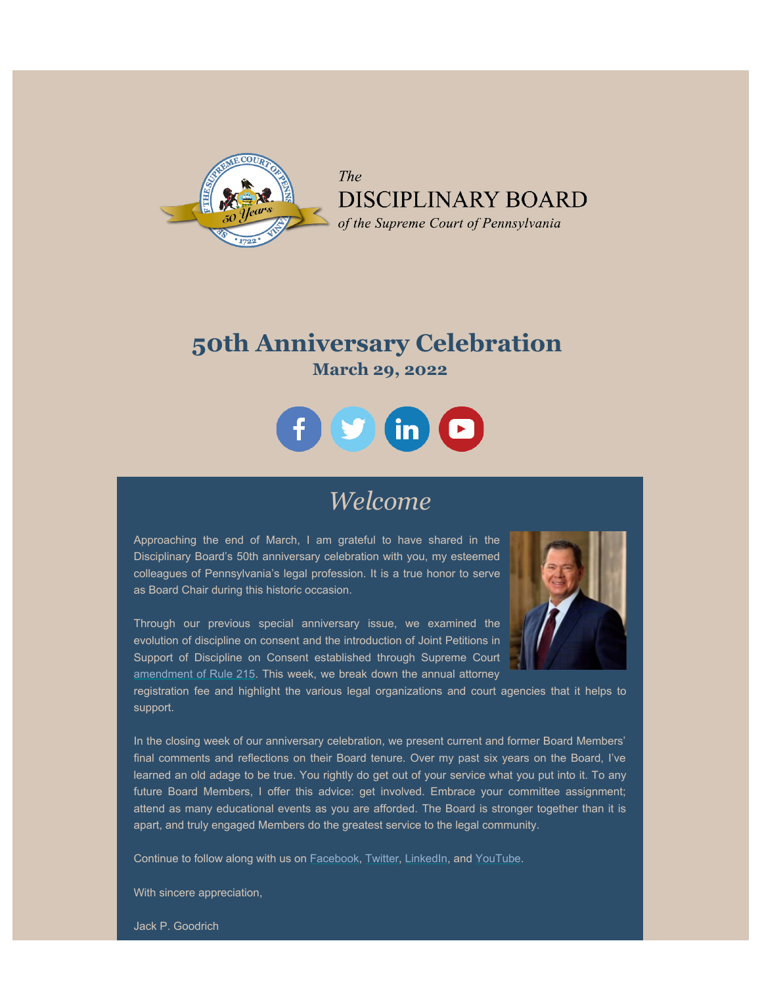

The DISCIPLINARY BOARD of the Supreme Court of Pennsylvania

## **50th Anniversary Celebration March 29, 2022**



## *Welcome*

Approaching the end of March, I am grateful to have shared in the Disciplinary Board's 50th anniversary celebration with you, my esteemed colleagues of Pennsylvania's legal profession. It is a true honor to serve as Board Chair during this historic occasion.

Through our previous special anniversary issue, we examined the evolution of discipline on consent and the introduction of Joint Petitions in Support of Discipline on Consent established through Supreme Court [amendment of Rule 215.](http://www.pacodeandbulletin.gov/Display/pabull?file=/secure/pabulletin/data/vol35/35-24/1113.html) This week, we break down the annual attorney



registration fee and highlight the various legal organizations and court agencies that it helps to support.

In the closing week of our anniversary celebration, we present current and former Board Members' final comments and reflections on their Board tenure. Over my past six years on the Board, I've learned an old adage to be true. You rightly do get out of your service what you put into it. To any future Board Members, I offer this advice: get involved. Embrace your committee assignment; attend as many educational events as you are afforded. The Board is stronger together than it is apart, and truly engaged Members do the greatest service to the legal community.

Continue to follow along with us on [Facebook](https://www.facebook.com/DBoardPA), [Twitter,](https://twitter.com/DBoardPA) [LinkedIn](https://www.linkedin.com/company/pennsylvania-disciplinary-board), and [YouTube](https://www.youtube.com/channel/UC7Rzfgcm91b2y3TRTXAViHw).

With sincere appreciation,

Jack P. Goodrich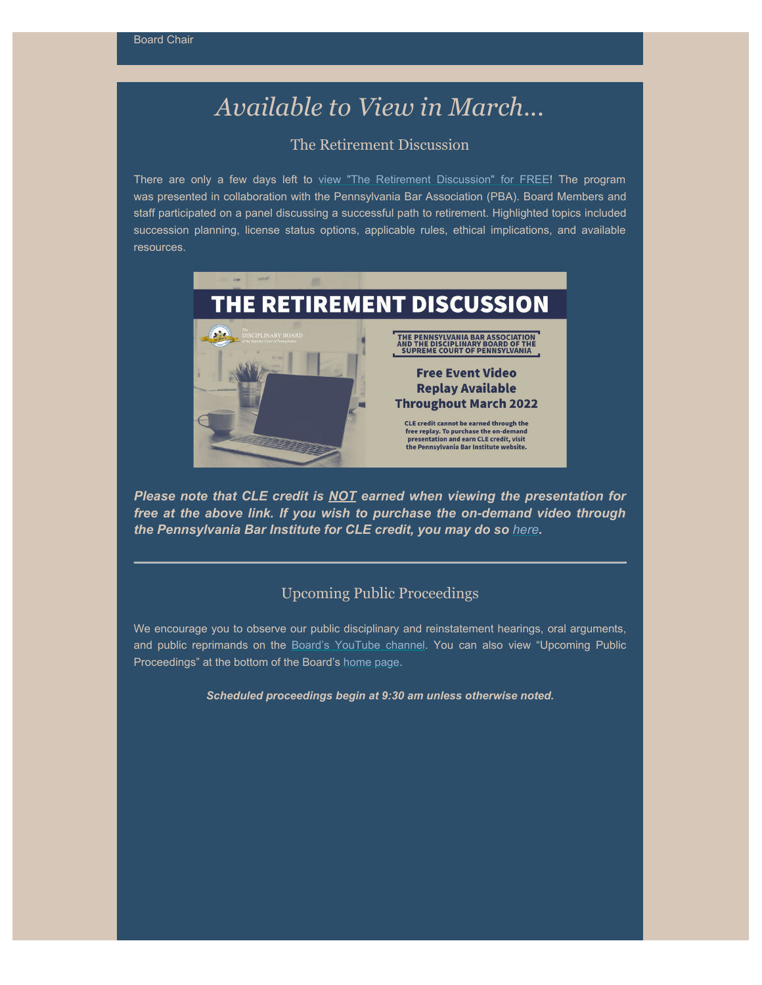# *Available to View in March...*

## The Retirement Discussion

There are only a few days left to view ["The Retirement Discussion" for FREE](https://www.pbi.org/Meetings/Meeting.aspx?ID=43006)! The program was presented in collaboration with the Pennsylvania Bar Association (PBA). Board Members and staff participated on a panel discussing a successful path to retirement. Highlighted topics included succession planning, license status options, applicable rules, ethical implications, and available resources.



*Please note that CLE credit is NOT earned when viewing the presentation for free at the above link. If you wish to purchase the on-demand video through the Pennsylvania Bar Institute for CLE credit, you may do so [here](https://www.pbi.org/Meetings/Meeting.aspx?ID=40925).*

### Upcoming Public Proceedings

We encourage you to observe our public disciplinary and reinstatement hearings, oral arguments, and public reprimands on the [Board's YouTube channel](https://www.youtube.com/channel/UC7Rzfgcm91b2y3TRTXAViHw). You can also view "Upcoming Public Proceedings" at the bottom of the Board's [home page](http://www.padisciplinaryboard.org/).

*Scheduled proceedings begin at 9:30 am unless otherwise noted.*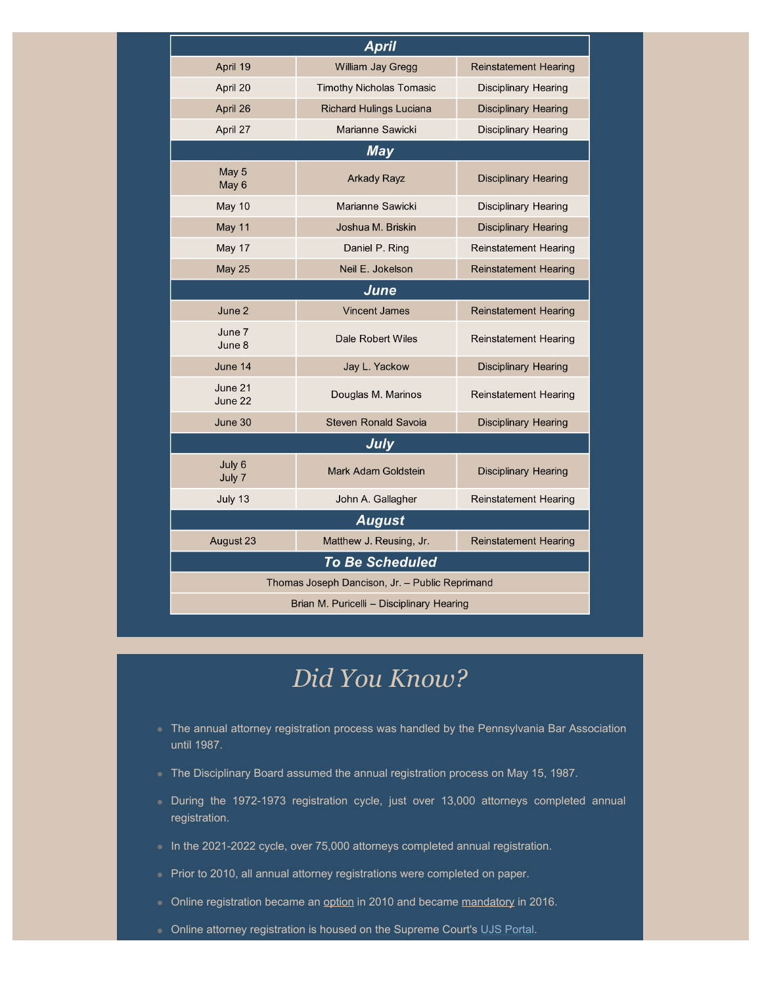| <b>April</b>                                   |                                 |                              |
|------------------------------------------------|---------------------------------|------------------------------|
| April 19                                       | William Jay Gregg               | <b>Reinstatement Hearing</b> |
| April 20                                       | <b>Timothy Nicholas Tomasic</b> | Disciplinary Hearing         |
| April 26                                       | <b>Richard Hulings Luciana</b>  | <b>Disciplinary Hearing</b>  |
| April 27                                       | Marianne Sawicki                | Disciplinary Hearing         |
| <b>May</b>                                     |                                 |                              |
| May 5<br>May 6                                 | <b>Arkady Rayz</b>              | <b>Disciplinary Hearing</b>  |
| May 10                                         | Marianne Sawicki                | Disciplinary Hearing         |
| May 11                                         | Joshua M. Briskin               | Disciplinary Hearing         |
| May 17                                         | Daniel P. Ring                  | <b>Reinstatement Hearing</b> |
| <b>May 25</b>                                  | Neil E. Jokelson                | <b>Reinstatement Hearing</b> |
| June                                           |                                 |                              |
| June 2                                         | <b>Vincent James</b>            | <b>Reinstatement Hearing</b> |
| June 7<br>June 8                               | Dale Robert Wiles               | <b>Reinstatement Hearing</b> |
| June 14                                        | Jay L. Yackow                   | Disciplinary Hearing         |
| June 21<br>June 22                             | Douglas M. Marinos              | Reinstatement Hearing        |
| June 30                                        | <b>Steven Ronald Savoia</b>     | <b>Disciplinary Hearing</b>  |
| <b>July</b>                                    |                                 |                              |
| July 6<br>July 7                               | Mark Adam Goldstein             | Disciplinary Hearing         |
| July 13                                        | John A. Gallagher               | <b>Reinstatement Hearing</b> |
| <b>August</b>                                  |                                 |                              |
| August 23                                      | Matthew J. Reusing, Jr.         | <b>Reinstatement Hearing</b> |
| <b>To Be Scheduled</b>                         |                                 |                              |
| Thomas Joseph Dancison, Jr. - Public Reprimand |                                 |                              |
| Brian M. Puricelli - Disciplinary Hearing      |                                 |                              |

# *Did You Know?*

- The annual attorney registration process was handled by the Pennsylvania Bar Association until 1987.
- The Disciplinary Board assumed the annual registration process on May 15, 1987.
- During the 1972-1973 registration cycle, just over 13,000 attorneys completed annual registration.
- In the 2021-2022 cycle, over 75,000 attorneys completed annual registration.
- Prior to 2010, all annual attorney registrations were completed on paper.
- Online registration became an option in 2010 and became mandatory in 2016.
- **Online attorney registration is housed on the Supreme Court's [UJS Portal](https://ujsportal.pacourts.us/).**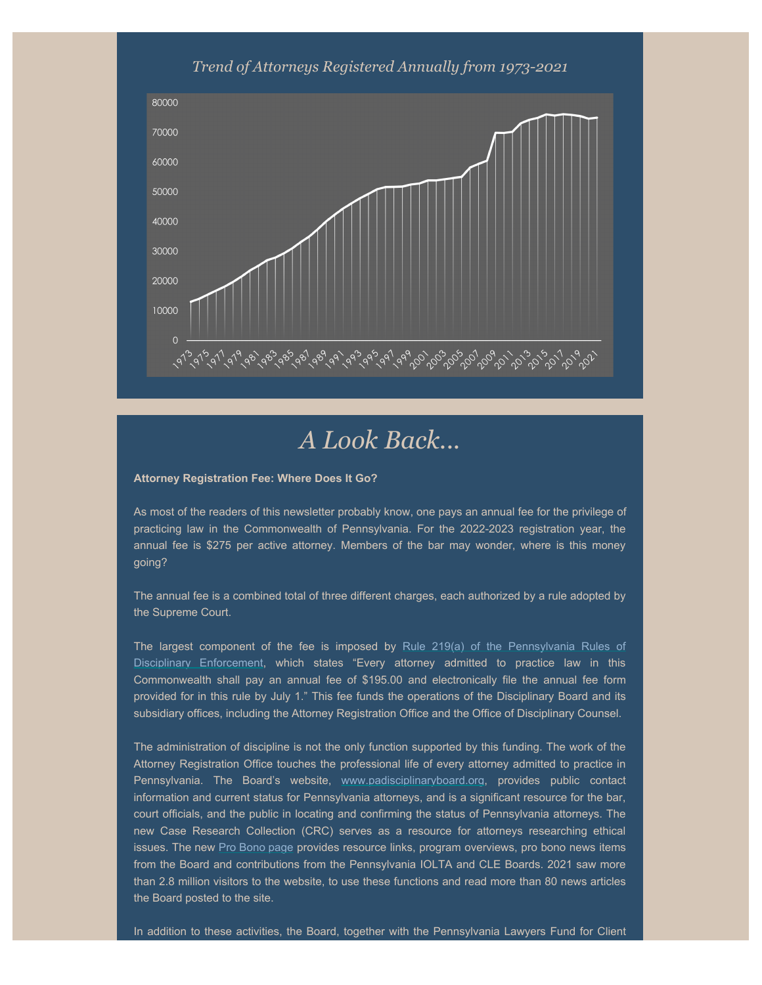### *Trend of Attorneys Registered Annually from 1973-2021*



## *A Look Back...*

#### **Attorney Registration Fee: Where Does It Go?**

As most of the readers of this newsletter probably know, one pays an annual fee for the privilege of practicing law in the Commonwealth of Pennsylvania. For the 2022-2023 registration year, the annual fee is \$275 per active attorney. Members of the bar may wonder, where is this money going?

The annual fee is a combined total of three different charges, each authorized by a rule adopted by the Supreme Court.

The largest component of the fee is imposed by [Rule 219\(a\) of the Pennsylvania Rules of](https://www.padisciplinaryboard.org/for-attorneys/rules/rule/5/#rule-35) [Disciplinary Enforcement,](https://www.padisciplinaryboard.org/for-attorneys/rules/rule/5/#rule-35) which states "Every attorney admitted to practice law in this Commonwealth shall pay an annual fee of \$195.00 and electronically file the annual fee form provided for in this rule by July 1." This fee funds the operations of the Disciplinary Board and its subsidiary offices, including the Attorney Registration Office and the Office of Disciplinary Counsel.

The administration of discipline is not the only function supported by this funding. The work of the Attorney Registration Office touches the professional life of every attorney admitted to practice in Pennsylvania. The Board's website, [www.padisciplinaryboard.org](http://www.padisciplinaryboard.org/), provides public contact information and current status for Pennsylvania attorneys, and is a significant resource for the bar, court officials, and the public in locating and confirming the status of Pennsylvania attorneys. The new Case Research Collection (CRC) serves as a resource for attorneys researching ethical issues. The new [Pro Bono page](https://www.padisciplinaryboard.org/for-attorneys/pro-bono) provides resource links, program overviews, pro bono news items from the Board and contributions from the Pennsylvania IOLTA and CLE Boards. 2021 saw more than 2.8 million visitors to the website, to use these functions and read more than 80 news articles the Board posted to the site.

In addition to these activities, the Board, together with the Pennsylvania Lawyers Fund for Client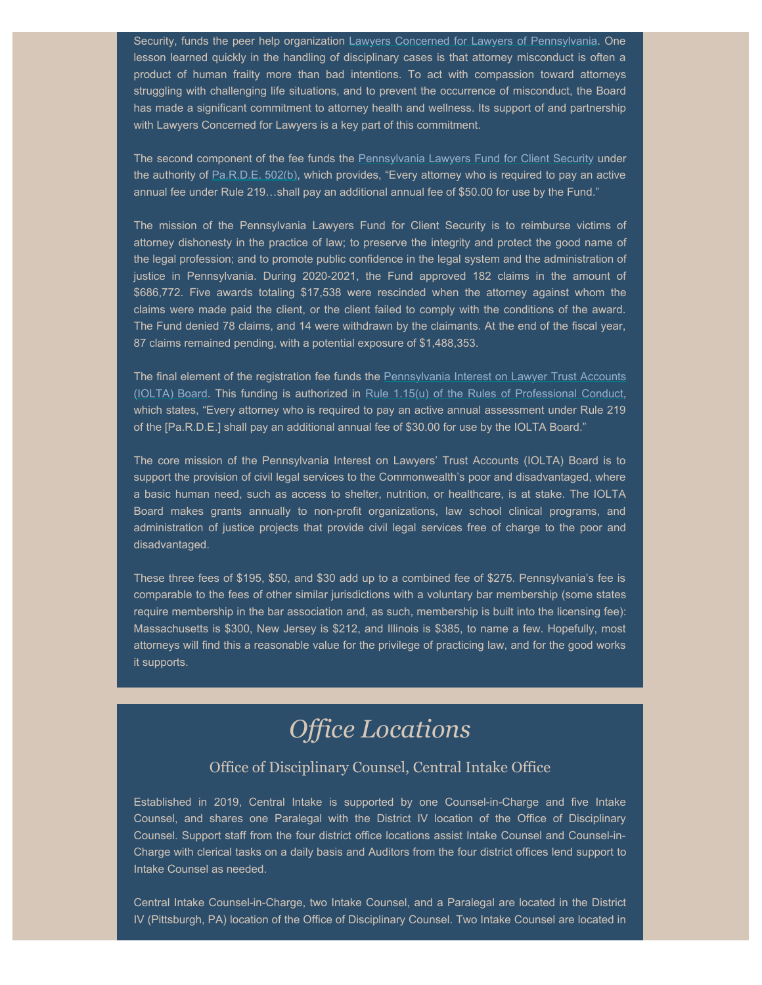Security, funds the peer help organization [Lawyers Concerned for Lawyers of Pennsylvania](https://www.lclpa.org/). One lesson learned quickly in the handling of disciplinary cases is that attorney misconduct is often a product of human frailty more than bad intentions. To act with compassion toward attorneys struggling with challenging life situations, and to prevent the occurrence of misconduct, the Board has made a significant commitment to attorney health and wellness. Its support of and partnership with Lawyers Concerned for Lawyers is a key part of this commitment.

The second component of the fee funds the [Pennsylvania Lawyers Fund for Client Security](https://palawfund.com/) under the authority of [Pa.R.D.E. 502\(b\)](https://www.padisciplinaryboard.org/for-attorneys/rules/rule/5/the-pennsylvania-rules-of-disciplinary-enforcement#rule-53), which provides, "Every attorney who is required to pay an active annual fee under Rule 219…shall pay an additional annual fee of \$50.00 for use by the Fund."

The mission of the Pennsylvania Lawyers Fund for Client Security is to reimburse victims of attorney dishonesty in the practice of law; to preserve the integrity and protect the good name of the legal profession; and to promote public confidence in the legal system and the administration of justice in Pennsylvania. During 2020-2021, the Fund approved 182 claims in the amount of \$686,772. Five awards totaling \$17,538 were rescinded when the attorney against whom the claims were made paid the client, or the client failed to comply with the conditions of the award. The Fund denied 78 claims, and 14 were withdrawn by the claimants. At the end of the fiscal year, 87 claims remained pending, with a potential exposure of \$1,488,353.

The final element of the registration fee funds the [Pennsylvania Interest on Lawyer Trust Accounts](https://www.paiolta.org/) [\(IOLTA\) Board.](https://www.paiolta.org/) This funding is authorized in [Rule 1.15\(u\) of the Rules of Professional Conduct,](https://www.padisciplinaryboard.org/for-attorneys/rules/rule/3/#p-rule-1348) which states, "Every attorney who is required to pay an active annual assessment under Rule 219 of the [Pa.R.D.E.] shall pay an additional annual fee of \$30.00 for use by the IOLTA Board."

The core mission of the Pennsylvania Interest on Lawyers' Trust Accounts (IOLTA) Board is to support the provision of civil legal services to the Commonwealth's poor and disadvantaged, where a basic human need, such as access to shelter, nutrition, or healthcare, is at stake. The IOLTA Board makes grants annually to non-profit organizations, law school clinical programs, and administration of justice projects that provide civil legal services free of charge to the poor and disadvantaged.

These three fees of \$195, \$50, and \$30 add up to a combined fee of \$275. Pennsylvania's fee is comparable to the fees of other similar jurisdictions with a voluntary bar membership (some states require membership in the bar association and, as such, membership is built into the licensing fee): Massachusetts is \$300, New Jersey is \$212, and Illinois is \$385, to name a few. Hopefully, most attorneys will find this a reasonable value for the privilege of practicing law, and for the good works it supports.

# *Office Locations*

## Office of Disciplinary Counsel, Central Intake Office

Established in 2019, Central Intake is supported by one Counsel-in-Charge and five Intake Counsel, and shares one Paralegal with the District IV location of the Office of Disciplinary Counsel. Support staff from the four district office locations assist Intake Counsel and Counsel-in-Charge with clerical tasks on a daily basis and Auditors from the four district offices lend support to Intake Counsel as needed.

Central Intake Counsel-in-Charge, two Intake Counsel, and a Paralegal are located in the District IV (Pittsburgh, PA) location of the Office of Disciplinary Counsel. Two Intake Counsel are located in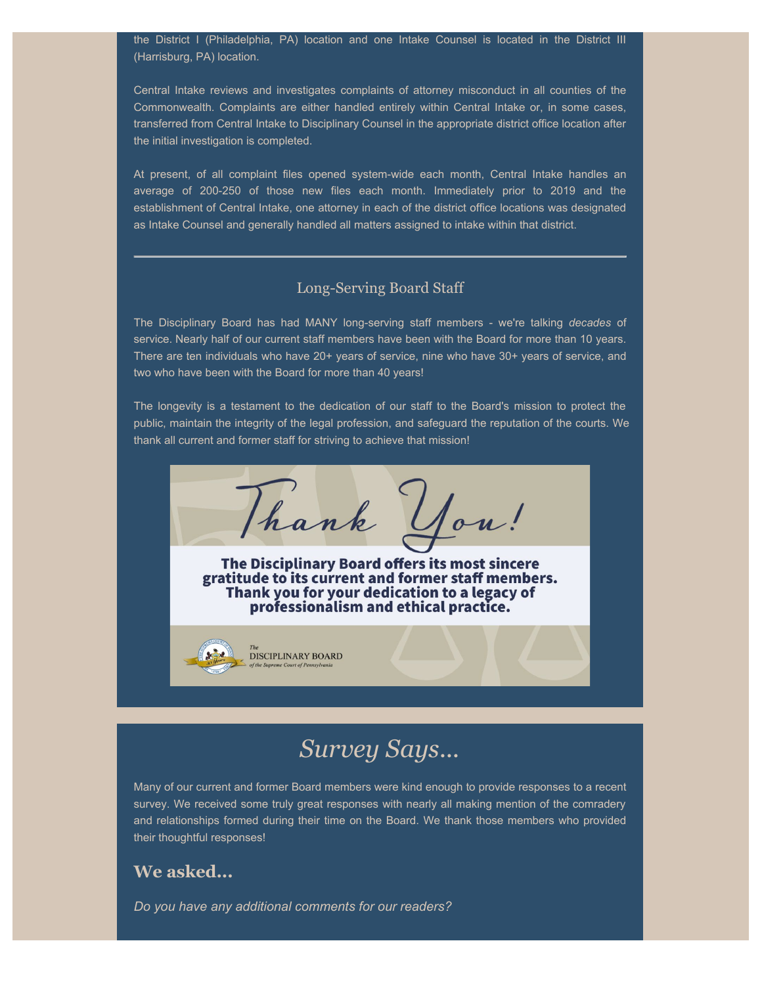the District I (Philadelphia, PA) location and one Intake Counsel is located in the District III (Harrisburg, PA) location.

Central Intake reviews and investigates complaints of attorney misconduct in all counties of the Commonwealth. Complaints are either handled entirely within Central Intake or, in some cases, transferred from Central Intake to Disciplinary Counsel in the appropriate district office location after the initial investigation is completed.

At present, of all complaint files opened system-wide each month, Central Intake handles an average of 200-250 of those new files each month. Immediately prior to 2019 and the establishment of Central Intake, one attorney in each of the district office locations was designated as Intake Counsel and generally handled all matters assigned to intake within that district.

### Long-Serving Board Staff

The Disciplinary Board has had MANY long-serving staff members - we're talking *decades* of service. Nearly half of our current staff members have been with the Board for more than 10 years. There are ten individuals who have 20+ years of service, nine who have 30+ years of service, and two who have been with the Board for more than 40 years!

The longevity is a testament to the dedication of our staff to the Board's mission to protect the public, maintain the integrity of the legal profession, and safeguard the reputation of the courts. We thank all current and former staff for striving to achieve that mission!

Thank You! The Disciplinary Board offers its most sincere gratitude to its current and former staff members. Thank you for your dedication to a legacy of professionalism and ethical practice.

# *Survey Says...*

Many of our current and former Board members were kind enough to provide responses to a recent survey. We received some truly great responses with nearly all making mention of the comradery and relationships formed during their time on the Board. We thank those members who provided their thoughtful responses!

## **We asked...**

*Do you have any additional comments for our readers?*

DISCIPLINARY BOARD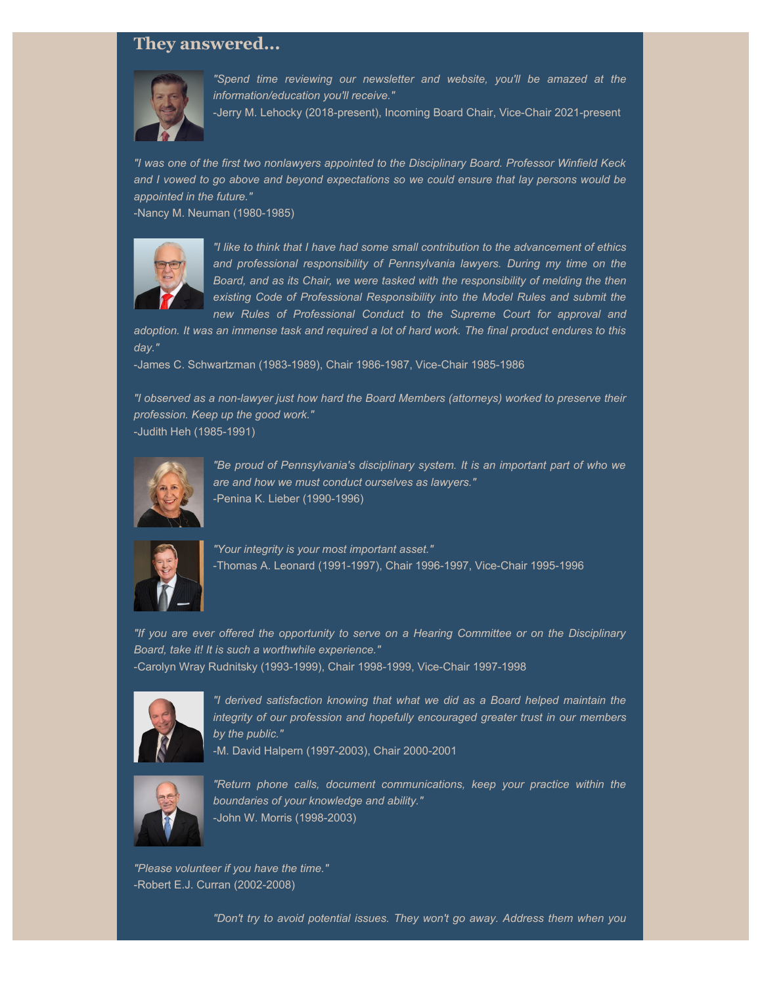## **They answered...**



*"Spend time reviewing our newsletter and website, you'll be amazed at the information/education you'll receive."*

-Jerry M. Lehocky (2018-present), Incoming Board Chair, Vice-Chair 2021-present

*"I was one of the first two nonlawyers appointed to the Disciplinary Board. Professor Winfield Keck and I vowed to go above and beyond expectations so we could ensure that lay persons would be appointed in the future."*

-Nancy M. Neuman (1980-1985)



*"I like to think that I have had some small contribution to the advancement of ethics and professional responsibility of Pennsylvania lawyers. During my time on the Board, and as its Chair, we were tasked with the responsibility of melding the then existing Code of Professional Responsibility into the Model Rules and submit the new Rules of Professional Conduct to the Supreme Court for approval and*

*adoption. It was an immense task and required a lot of hard work. The final product endures to this day."*

-James C. Schwartzman (1983-1989), Chair 1986-1987, Vice-Chair 1985-1986

*"I observed as a non-lawyer just how hard the Board Members (attorneys) worked to preserve their profession. Keep up the good work."* -Judith Heh (1985-1991)



*"Be proud of Pennsylvania's disciplinary system. It is an important part of who we are and how we must conduct ourselves as lawyers."* -Penina K. Lieber (1990-1996)



*"Your integrity is your most important asset."* -Thomas A. Leonard (1991-1997), Chair 1996-1997, Vice-Chair 1995-1996

*"If you are ever offered the opportunity to serve on a Hearing Committee or on the Disciplinary Board, take it! It is such a worthwhile experience."* -Carolyn Wray Rudnitsky (1993-1999), Chair 1998-1999, Vice-Chair 1997-1998



*"I derived satisfaction knowing that what we did as a Board helped maintain the integrity of our profession and hopefully encouraged greater trust in our members by the public."*

-M. David Halpern (1997-2003), Chair 2000-2001



*"Return phone calls, document communications, keep your practice within the boundaries of your knowledge and ability."* -John W. Morris (1998-2003)

*"Please volunteer if you have the time."* -Robert E.J. Curran (2002-2008)

*"Don't try to avoid potential issues. They won't go away. Address them when you*